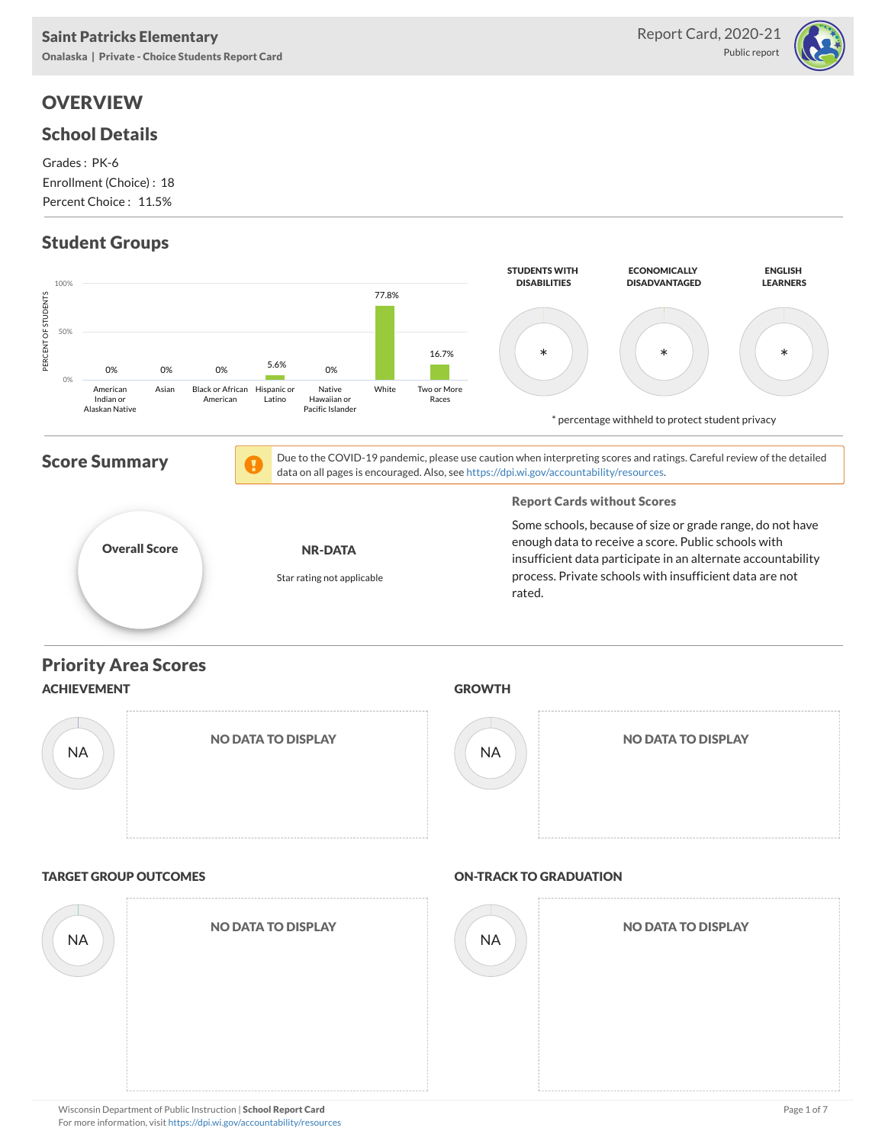## **OVERVIEW**

#### School Details

Grades : PK-6 Enrollment (Choice) : 18 Percent Choice : 11.5%

### Student Groups



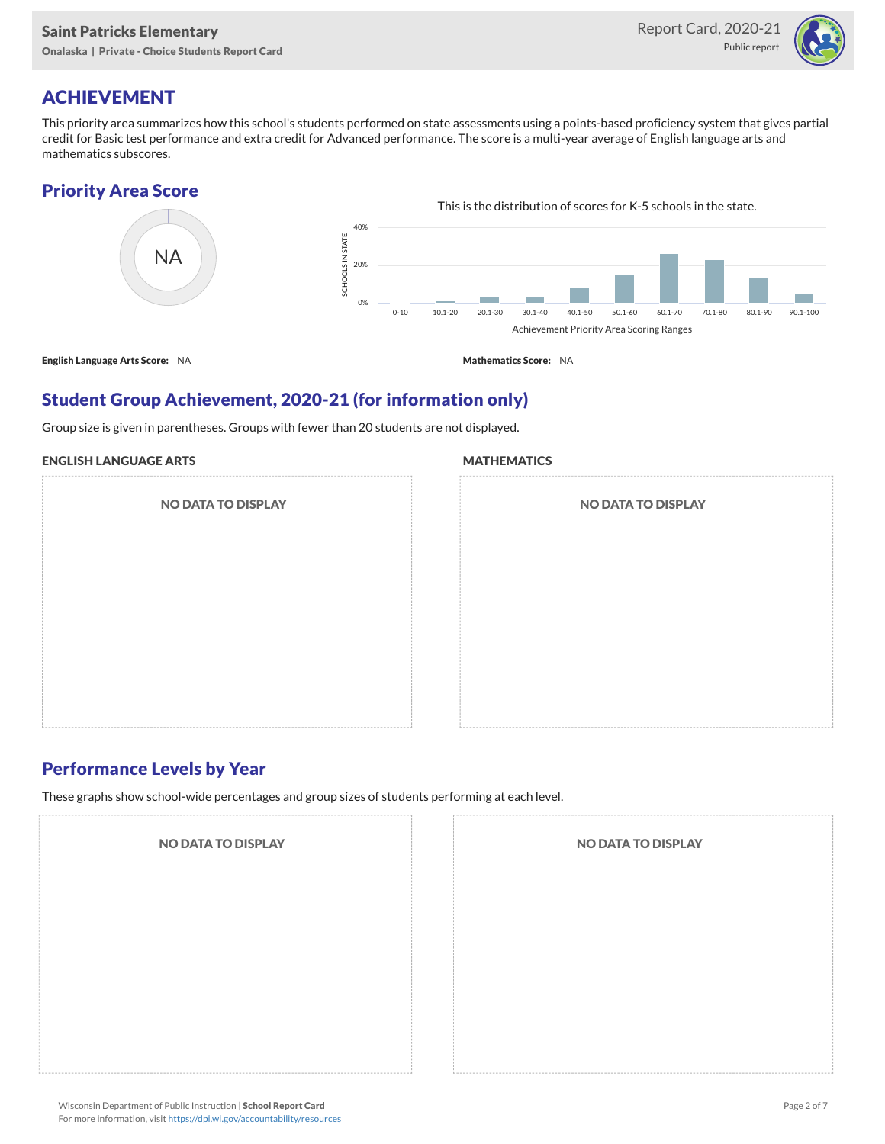

## ACHIEVEMENT

This priority area summarizes how this school's students performed on state assessments using a points-based proficiency system that gives partial credit for Basic test performance and extra credit for Advanced performance. The score is a multi-year average of English language arts and mathematics subscores.

#### Priority Area Score



### Student Group Achievement, 2020-21 (for information only)

Group size is given in parentheses. Groups with fewer than 20 students are not displayed.

#### ENGLISH LANGUAGE ARTS

NO DATA TO DISPLAY

#### **MATHEMATICS**

| <b>NO DATA TO DISPLAY</b> |  |  |
|---------------------------|--|--|
|                           |  |  |
|                           |  |  |
|                           |  |  |
|                           |  |  |

#### Performance Levels by Year

These graphs show school-wide percentages and group sizes of students performing at each level.

NO DATA TO DISPLAY NO DATA TO DISPLAY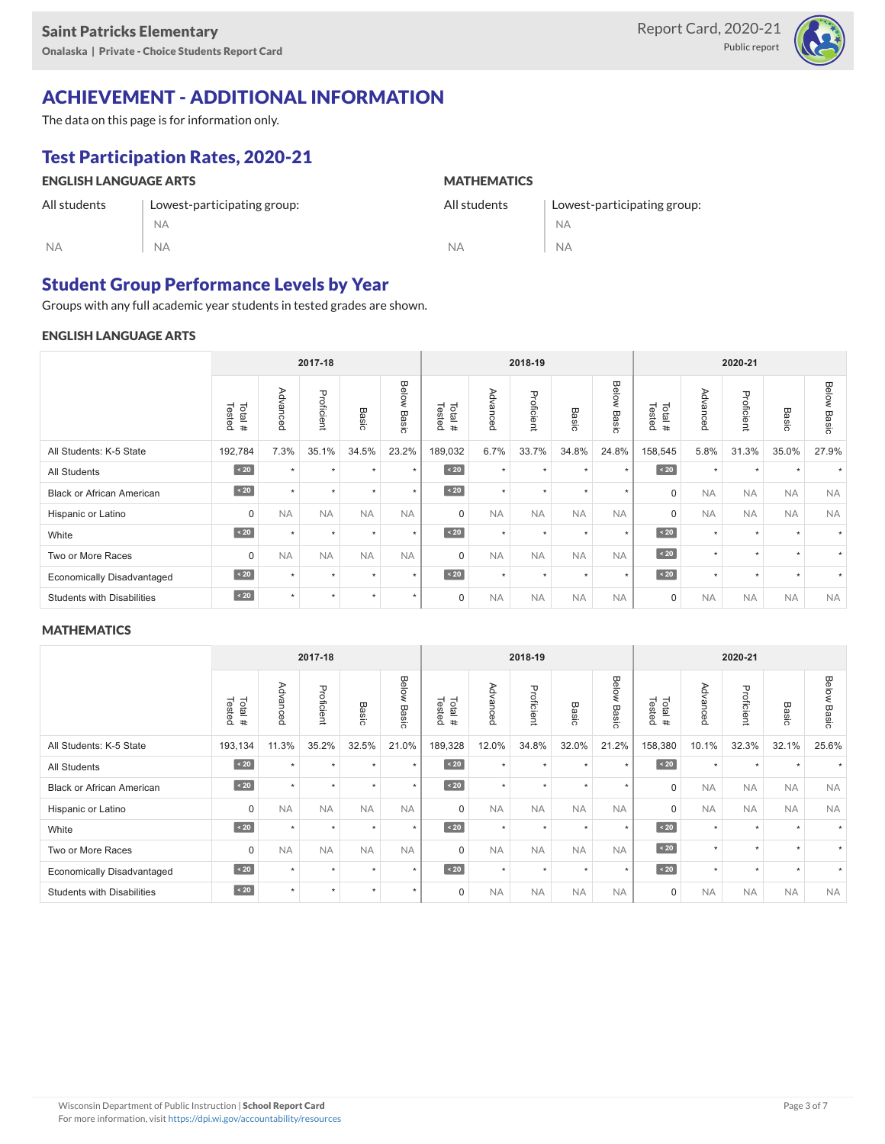

## ACHIEVEMENT - ADDITIONAL INFORMATION

The data on this page is for information only.

## Test Participation Rates, 2020-21

| <b>ENGLISH LANGUAGE ARTS</b> |                             | <b>MATHEMATICS</b> |                             |  |  |  |  |
|------------------------------|-----------------------------|--------------------|-----------------------------|--|--|--|--|
| All students                 | Lowest-participating group: | All students       | Lowest-participating group: |  |  |  |  |
|                              | <b>NA</b>                   |                    | <b>NA</b>                   |  |  |  |  |
| <b>NA</b>                    | <b>NA</b>                   | <b>NA</b>          | <b>NA</b>                   |  |  |  |  |

#### Student Group Performance Levels by Year

Groups with any full academic year students in tested grades are shown.

#### ENGLISH LANGUAGE ARTS

| 2017-18                           |                  |           |            |               |                | 2018-19          |           |            |                      | 2020-21        |                  |              |            |                      |                       |
|-----------------------------------|------------------|-----------|------------|---------------|----------------|------------------|-----------|------------|----------------------|----------------|------------------|--------------|------------|----------------------|-----------------------|
|                                   | Tested<br>Total# | Advanced  | Proficient | Basic         | Below<br>Basic | Tested<br>Total# | Advanced  | Proficient | Basic                | Below<br>Basic | Tested<br>Total# | Advance<br>ö | Proficient | Basic                | <b>Below</b><br>Basic |
| All Students: K-5 State           | 192,784          | 7.3%      | 35.1%      | 34.5%         | 23.2%          | 189,032          | 6.7%      | 33.7%      | 34.8%                | 24.8%          | 158,545          | 5.8%         | 31.3%      | 35.0%                | 27.9%                 |
| <b>All Students</b>               | $\angle 20$      | $\ddot{}$ | $\star$    | $\ddot{}$     | $\star$        | $\angle 20$      | $\star$   | $\star$    | $\ddot{}$            | $\star$        | $\angle 20$      | $\star$      | $\star$    |                      |                       |
| <b>Black or African American</b>  | $\angle 20$      | $\ddot{}$ | $\star$    | $\star$       | $\star$        | $\angle 20$      | $\star$   | $\star$    | $\ddot{}$            | $\star$        | $\mathbf 0$      | <b>NA</b>    | <b>NA</b>  | <b>NA</b>            | <b>NA</b>             |
| Hispanic or Latino                | 0                | <b>NA</b> | <b>NA</b>  | <b>NA</b>     | <b>NA</b>      | $\Omega$         | <b>NA</b> | <b>NA</b>  | <b>NA</b>            | <b>NA</b>      | $\mathbf 0$      | <b>NA</b>    | <b>NA</b>  | <b>NA</b>            | <b>NA</b>             |
| White                             | $\angle 20$      | $\ddot{}$ | $\star$    | $\rightarrow$ | $\star$        | $\sim 20$        | $\star$   | $\star$    | $\ddot{}$            | $\star$        | $\angle 20$      | $\star$      | $\star$    | $\ddot{}$            |                       |
| Two or More Races                 | $\mathbf 0$      | <b>NA</b> | <b>NA</b>  | <b>NA</b>     | <b>NA</b>      | $\mathbf 0$      | <b>NA</b> | <b>NA</b>  | <b>NA</b>            | <b>NA</b>      | $\angle 20$      | $\star$      | ٠          | $\ddot{\phantom{1}}$ |                       |
| <b>Economically Disadvantaged</b> | $\sim 20$        | $\ddot{}$ | $\star$    | $\star$       | $\star$        | $\sim 20$        | $\star$   | $\star$    | $\ddot{\phantom{1}}$ | $\star$        | $\angle 20$      | $\star$      | ٠          | $\ddot{\phantom{1}}$ |                       |
| <b>Students with Disabilities</b> | $\angle 20$      | $\ddot{}$ | ٠          | $\ddot{}$     | $\star$        | $\Omega$         | <b>NA</b> | <b>NA</b>  | <b>NA</b>            | <b>NA</b>      | $\mathbf 0$      | <b>NA</b>    | <b>NA</b>  | <b>NA</b>            | <b>NA</b>             |

#### **MATHEMATICS**

|                                   | 2017-18          |           |            | 2018-19       |                |                  |           | 2020-21    |                      |                |                  |           |            |                      |                |
|-----------------------------------|------------------|-----------|------------|---------------|----------------|------------------|-----------|------------|----------------------|----------------|------------------|-----------|------------|----------------------|----------------|
|                                   | Tested<br>Total# | Advanced  | Proficient | <b>Basic</b>  | Below<br>Basic | Tested<br>Total# | Advanced  | Proficient | Basic                | Below<br>Basic | Tested<br>Total# | Advanced  | Proficient | Basic                | Below<br>Basic |
| All Students: K-5 State           | 193,134          | 11.3%     | 35.2%      | 32.5%         | 21.0%          | 189,328          | 12.0%     | 34.8%      | 32.0%                | 21.2%          | 158,380          | 10.1%     | 32.3%      | 32.1%                | 25.6%          |
| <b>All Students</b>               | $\angle 20$      | $\ddot{}$ | $\star$    | $\ddot{}$     | $\star$        | $\angle 20$      | $\star$   | $\star$    | $\ddot{}$            | $\star$        | $\angle 20$      | $\star$   | $\star$    |                      |                |
| <b>Black or African American</b>  | $\angle 20$      | $\ddot{}$ | $\star$    | $\star$       | $\star$        | $\angle 20$      | $\star$   | $\star$    | $\ddot{}$            | $\star$        | $\mathbf 0$      | <b>NA</b> | <b>NA</b>  | <b>NA</b>            | <b>NA</b>      |
| Hispanic or Latino                | 0                | <b>NA</b> | <b>NA</b>  | <b>NA</b>     | <b>NA</b>      | $\Omega$         | <b>NA</b> | <b>NA</b>  | <b>NA</b>            | <b>NA</b>      | $\mathbf 0$      | <b>NA</b> | <b>NA</b>  | <b>NA</b>            | <b>NA</b>      |
| White                             | $\leq 20$        | $\ddot{}$ | $\star$    | $\rightarrow$ | $\star$        | $\angle 20$      | $\star$   | $\star$    | $\ddot{}$            | $\star$        | $\sim 20$        | $\star$   | $\star$    | $\ddot{}$            |                |
| Two or More Races                 | 0                | <b>NA</b> | <b>NA</b>  | <b>NA</b>     | <b>NA</b>      | $\Omega$         | <b>NA</b> | <b>NA</b>  | <b>NA</b>            | <b>NA</b>      | $\angle 20$      | $\star$   | $\star$    | $\ddot{}$            |                |
| <b>Economically Disadvantaged</b> | $\sim 20$        | $\ddot{}$ | $\star$    | $\ddot{}$     | $\star$        | $\sim 20$        | $\star$   | $\star$    | $\ddot{\phantom{1}}$ | $\star$        | $\sim 20$        | $\star$   | $\star$    | $\ddot{\phantom{1}}$ |                |
| <b>Students with Disabilities</b> | $\angle 20$      | $\ddot{}$ | $\star$    | $\star$       | $\star$        | $\mathbf 0$      | <b>NA</b> | <b>NA</b>  | <b>NA</b>            | <b>NA</b>      | 0                | <b>NA</b> | <b>NA</b>  | <b>NA</b>            | <b>NA</b>      |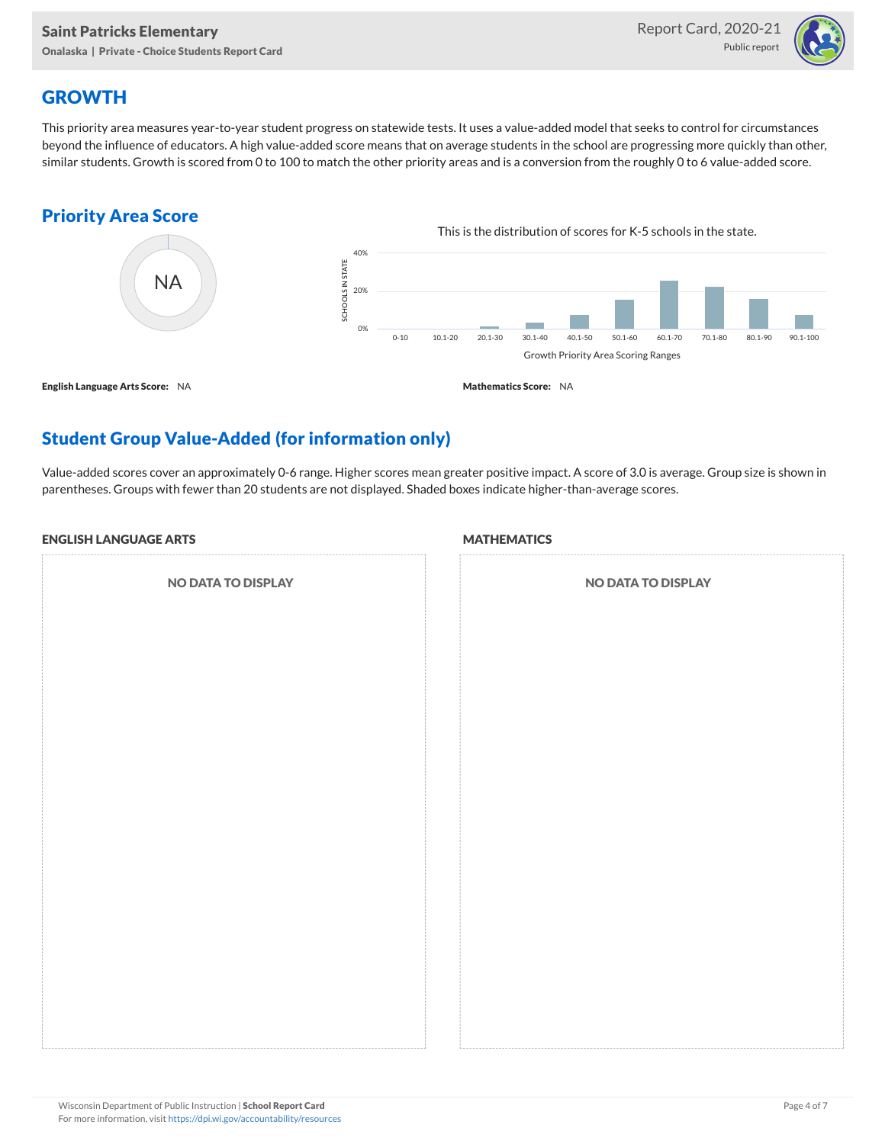

## **GROWTH**

This priority area measures year-to-year student progress on statewide tests. It uses a value-added model that seeks to control for circumstances beyond the influence of educators. A high value-added score means that on average students in the school are progressing more quickly than other, similar students. Growth is scored from 0 to 100 to match the other priority areas and is a conversion from the roughly 0 to 6 value-added score.

#### Priority Area Score



## Student Group Value-Added (for information only)

Value-added scores cover an approximately 0-6 range. Higher scores mean greater positive impact. A score of 3.0 is average. Group size is shown in parentheses. Groups with fewer than 20 students are not displayed. Shaded boxes indicate higher-than-average scores.

#### ENGLISH LANGUAGE ARTS

NO DATA TO DISPLAY

#### **MATHEMATICS**

| NO DATA TO DISPLAY |  |
|--------------------|--|
|                    |  |
|                    |  |
|                    |  |
|                    |  |
|                    |  |
|                    |  |
|                    |  |
|                    |  |
|                    |  |
|                    |  |
|                    |  |
|                    |  |
|                    |  |
|                    |  |
|                    |  |
|                    |  |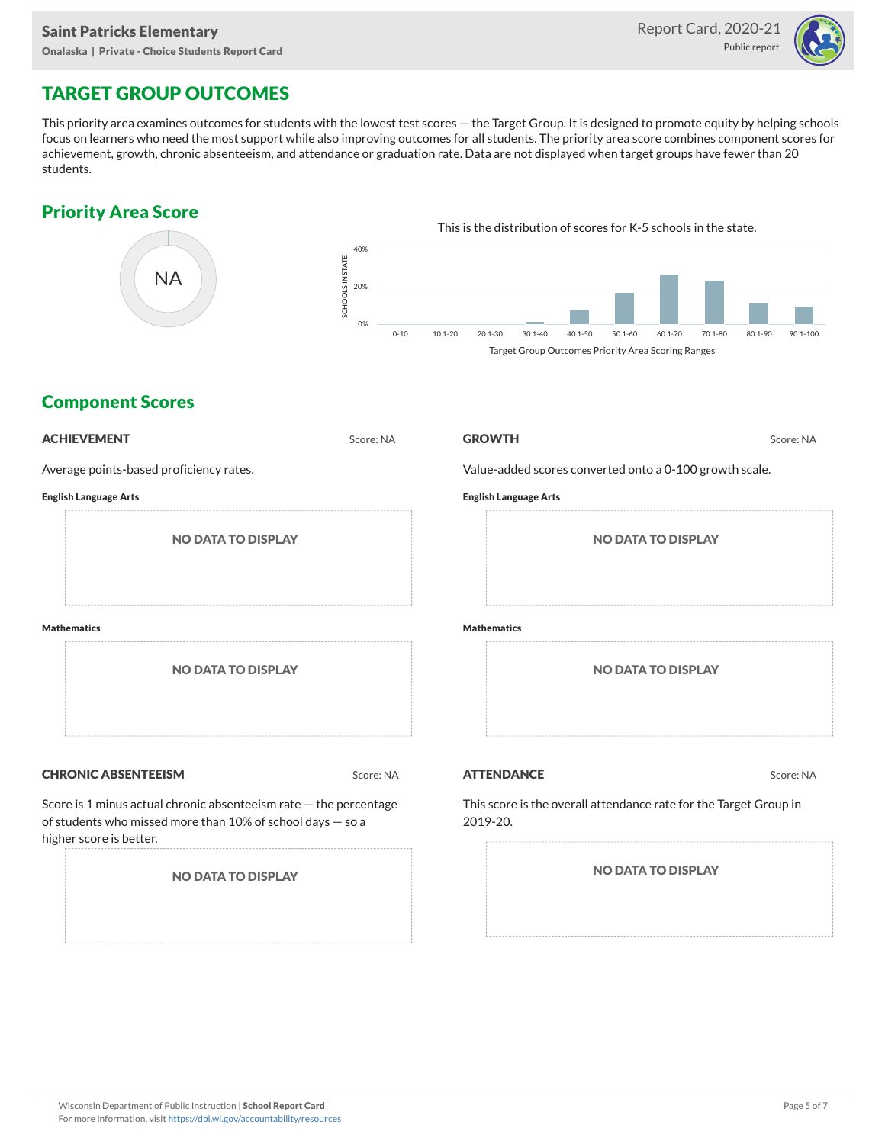

## TARGET GROUP OUTCOMES

This priority area examines outcomes for students with the lowest test scores — the Target Group. It is designed to promote equity by helping schools focus on learners who need the most support while also improving outcomes for all students. The priority area score combines component scores for achievement, growth, chronic absenteeism, and attendance or graduation rate. Data are not displayed when target groups have fewer than 20 students.

### Priority Area Score



### Component Scores

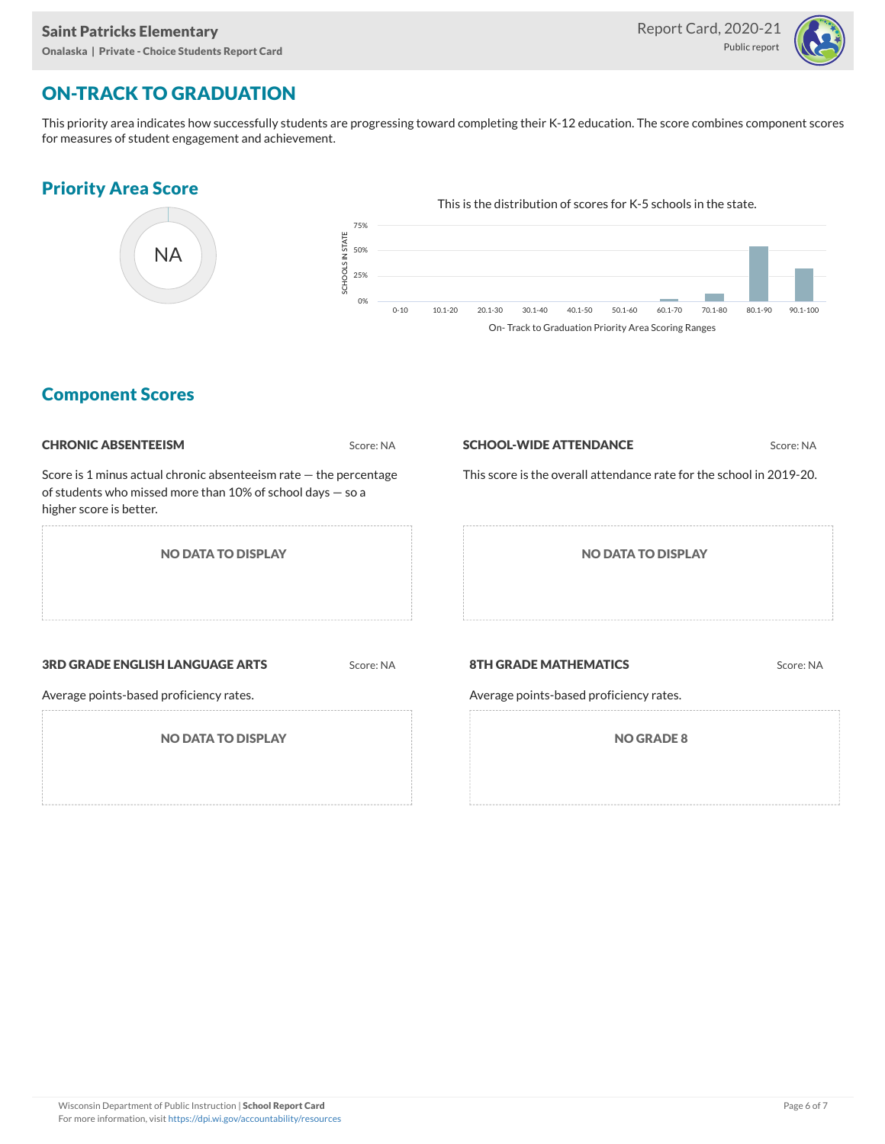

# ON-TRACK TO GRADUATION

This priority area indicates how successfully students are progressing toward completing their K-12 education. The score combines component scores for measures of student engagement and achievement.

#### Priority Area Score



### Component Scores

| <b>CHRONIC ABSENTEEISM</b>                                                                                                                                     | Score: NA |                                                                         | Score: NA |  |  |  |  |
|----------------------------------------------------------------------------------------------------------------------------------------------------------------|-----------|-------------------------------------------------------------------------|-----------|--|--|--|--|
| Score is 1 minus actual chronic absenteeism rate $-$ the percentage<br>of students who missed more than 10% of school days $-$ so a<br>higher score is better. |           | This score is the overall attendance rate for the school in 2019-20.    |           |  |  |  |  |
| <b>NO DATA TO DISPLAY</b>                                                                                                                                      |           | <b>NO DATA TO DISPLAY</b>                                               |           |  |  |  |  |
| <b>3RD GRADE ENGLISH LANGUAGE ARTS</b><br>Average points-based proficiency rates.                                                                              | Score: NA | <b>8TH GRADE MATHEMATICS</b><br>Average points-based proficiency rates. | Score: NA |  |  |  |  |
| <b>NO DATA TO DISPLAY</b>                                                                                                                                      |           | <b>NO GRADE 8</b>                                                       |           |  |  |  |  |